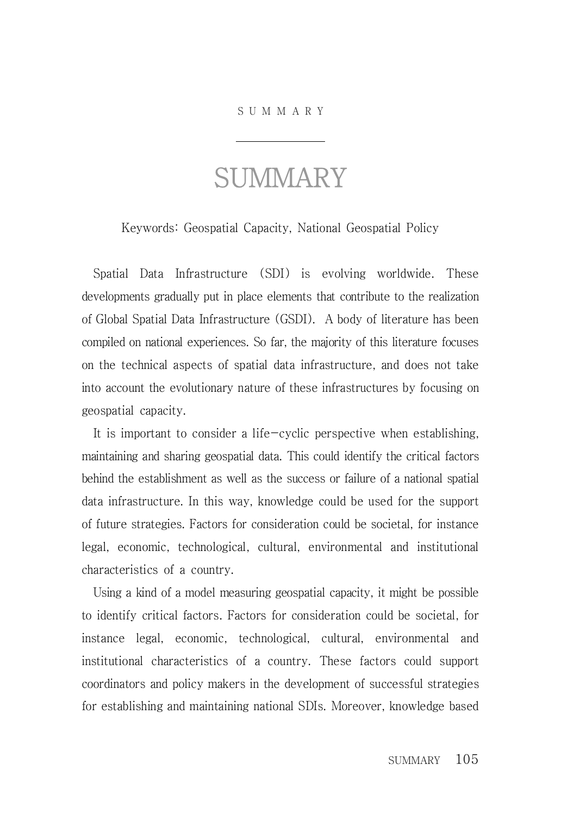## S U M M A R Y

## **SUMMARY**

Keywords: Geospatial Capacity, National Geospatial Policy

Spatial Data Infrastructure (SDI) is evolving worldwide. These developments gradually put in place elements that contribute to the realization of Global Spatial Data Infrastructure (GSDI). A body of literature has been compiled on national experiences. So far, the majority of this literature focuses on the technical aspects of spatial data infrastructure, and does not take into account the evolutionary nature of these infrastructures by focusing on geospatial capacity.

It is important to consider a life-cyclic perspective when establishing, maintaining and sharing geospatial data. This could identify the critical factors behind the establishment as well as the success or failure of a national spatial data infrastructure. In this way, knowledge could be used for the support of future strategies. Factors for consideration could be societal, for instance legal, economic, technological, cultural, environmental and institutional characteristics of a country.

Using a kind of a model measuring geospatial capacity, it might be possible to identify critical factors. Factors for consideration could be societal, for instance legal, economic, technological, cultural, environmental and institutional characteristics of a country. These factors could support coordinators and policy makers in the development of successful strategies for establishing and maintaining national SDIs. Moreover, knowledge based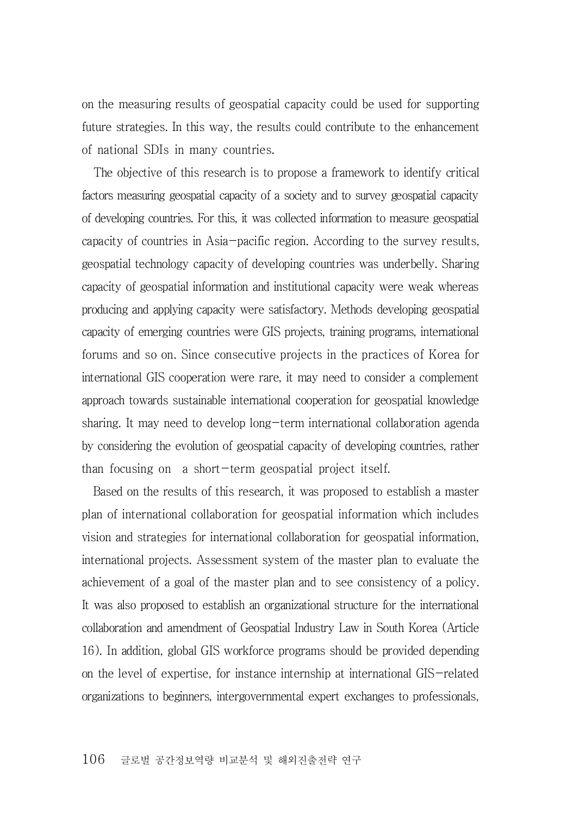on the measuring results of geospatial capacity could be used for supporting future strategies. In this way, the results could contribute to the enhancement of national SDIs in many countries.

The objective of this research is to propose a framework to identify critical factors measuring geospatial capacity of a society and to survey geospatial capacity of developing countries. For this, it was collected information to measure geospatial capacity of countries in Asia-pacific region. According to the survey results, geospatial technology capacity of developing countries was underbelly. Sharing capacity of geospatial information and institutional capacity were weak whereas producing and applying capacity were satisfactory. Methods developing geospatial capacity of emerging countries were GIS projects, training programs, international forums and so on. Since consecutive projects in the practices of Korea for international GIS cooperation were rare, it may need to consider a complement approach towards sustainable international cooperation for geospatial knowledge sharing. It may need to develop long-term international collaboration agenda by considering the evolution of geospatial capacity of developing countries, rather than focusing on a short-term geospatial project itself.

Based on the results of this research, it was proposed to establish a master plan of international collaboration for geospatial information which includes vision and strategies for international collaboration for geospatial information, international projects. Assessment system of the master plan to evaluate the achievement of a goal of the master plan and to see consistency of a policy. It was also proposed to establish an organizational structure for the international collaboration and amendment of Geospatial Industry Law in South Korea (Article 16). In addition, global GIS workforce programs should be provided depending on the level of expertise, for instance internship at international GIS-related organizations to beginners, intergovernmental expert exchanges to professionals,